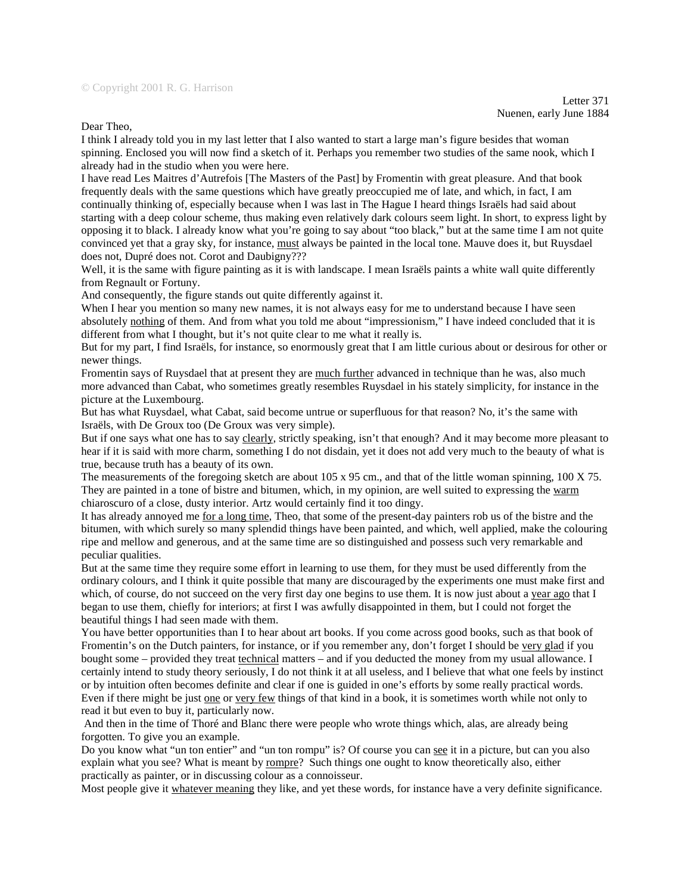Dear Theo,

I think I already told you in my last letter that I also wanted to start a large man's figure besides that woman spinning. Enclosed you will now find a sketch of it. Perhaps you remember two studies of the same nook, which I already had in the studio when you were here.

I have read Les Maitres d'Autrefois [The Masters of the Past] by Fromentin with great pleasure. And that book frequently deals with the same questions which have greatly preoccupied me of late, and which, in fact, I am continually thinking of, especially because when I was last in The Hague I heard things Israëls had said about starting with a deep colour scheme, thus making even relatively dark colours seem light. In short, to express light by opposing it to black. I already know what you're going to say about "too black," but at the same time I am not quite convinced yet that a gray sky, for instance, must always be painted in the local tone. Mauve does it, but Ruysdael does not, Dupré does not. Corot and Daubigny???

Well, it is the same with figure painting as it is with landscape. I mean Israëls paints a white wall quite differently from Regnault or Fortuny.

And consequently, the figure stands out quite differently against it.

When I hear you mention so many new names, it is not always easy for me to understand because I have seen absolutely nothing of them. And from what you told me about "impressionism," I have indeed concluded that it is different from what I thought, but it's not quite clear to me what it really is.

But for my part, I find Israëls, for instance, so enormously great that I am little curious about or desirous for other or newer things.

Fromentin says of Ruysdael that at present they are much further advanced in technique than he was, also much more advanced than Cabat, who sometimes greatly resembles Ruysdael in his stately simplicity, for instance in the picture at the Luxembourg.

But has what Ruysdael, what Cabat, said become untrue or superfluous for that reason? No, it's the same with Israëls, with De Groux too (De Groux was very simple).

But if one says what one has to say clearly*,* strictly speaking, isn't that enough? And it may become more pleasant to hear if it is said with more charm, something I do not disdain, yet it does not add very much to the beauty of what is true, because truth has a beauty of its own.

The measurements of the foregoing sketch are about 105 x 95 cm., and that of the little woman spinning, 100 X 75. They are painted in a tone of bistre and bitumen, which, in my opinion, are well suited to expressing the warm chiaroscuro of a close, dusty interior. Artz would certainly find it too dingy.

It has already annoyed me for a long time*,* Theo, that some of the present-day painters rob us of the bistre and the bitumen, with which surely so many splendid things have been painted, and which, well applied, make the colouring ripe and mellow and generous, and at the same time are so distinguished and possess such very remarkable and peculiar qualities.

But at the same time they require some effort in learning to use them, for they must be used differently from the ordinary colours, and I think it quite possible that many are discouraged by the experiments one must make first and which, of course, do not succeed on the very first day one begins to use them. It is now just about a year ago that I began to use them, chiefly for interiors; at first I was awfully disappointed in them, but I could not forget the beautiful things I had seen made with them.

You have better opportunities than I to hear about art books. If you come across good books, such as that book of Fromentin's on the Dutch painters, for instance, or if you remember any, don't forget I should be very glad if you bought some – provided they treat technical matters – and if you deducted the money from my usual allowance. I certainly intend to study theory seriously, I do not think it at all useless, and I believe that what one feels by instinct or by intuition often becomes definite and clear if one is guided in one's efforts by some really practical words. Even if there might be just one or very few things of that kind in a book, it is sometimes worth while not only to read it but even to buy it, particularly now.

 And then in the time of Thoré and Blanc there were people who wrote things which, alas, are already being forgotten. To give you an example.

Do you know what "un ton entier" and "un ton rompu" is? Of course you can see it in a picture, but can you also explain what you see? What is meant by rompre?Such things one ought to know theoretically also, either practically as painter, or in discussing colour as a connoisseur.

Most people give it whatever meaning they like, and yet these words, for instance have a very definite significance.